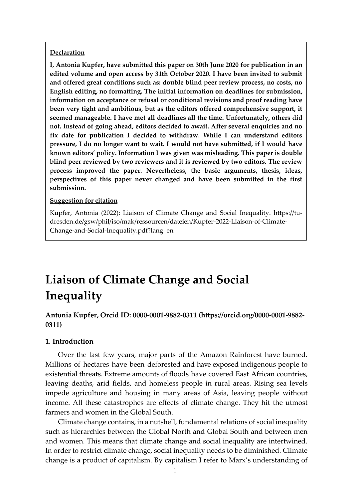## **Declaration**

**I, Antonia Kupfer, have submitted this paper on 30th June 2020 for publication in an edited volume and open access by 31th October 2020. I have been invited to submit and offered great conditions such as: double blind peer review process, no costs, no English editing, no formatting. The initial information on deadlines for submission, information on acceptance or refusal or conditional revisions and proof reading have been very tight and ambitious, but as the editors offered comprehensive support, it seemed manageable. I have met all deadlines all the time. Unfortunately, others did not. Instead of going ahead, editors decided to await. After several enquiries and no fix date for publication I decided to withdraw. While I can understand editors pressure, I do no longer want to wait. I would not have submitted, if I would have known editors' policy. Information I was given was misleading. This paper is double blind peer reviewed by two reviewers and it is reviewed by two editors. The review process improved the paper. Nevertheless, the basic arguments, thesis, ideas, perspectives of this paper never changed and have been submitted in the first submission.**

### **Suggestion for citation**

Kupfer, Antonia (2022): Liaison of Climate Change and Social Inequality. https://tudresden.de/gsw/phil/iso/mak/ressourcen/dateien/Kupfer-2022-Liaison-of-Climate-Change-and-Social-Inequality.pdf?lang=en

# **Liaison of Climate Change and Social Inequality**

**Antonia Kupfer, Orcid ID: 0000-0001-9882-0311 (https://orcid.org/0000-0001-9882- 0311)**

## **1. Introduction**

Over the last few years, major parts of the Amazon Rainforest have burned. Millions of hectares have been deforested and have exposed indigenous people to existential threats. Extreme amounts of floods have covered East African countries, leaving deaths, arid fields, and homeless people in rural areas. Rising sea levels impede agriculture and housing in many areas of Asia, leaving people without income. All these catastrophes are effects of climate change. They hit the utmost farmers and women in the Global South.

Climate change contains, in a nutshell, fundamental relations of social inequality such as hierarchies between the Global North and Global South and between men and women. This means that climate change and social inequality are intertwined. In order to restrict climate change, social inequality needs to be diminished. Climate change is a product of capitalism. By capitalism I refer to Marx's understanding of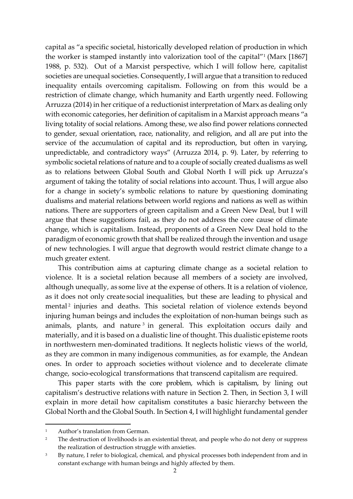capital as "a specific societal, historically developed relation of production in which the worker is stamped instantly into valorization tool of the capital"<sup>1</sup> (Marx [1867] 1988, p. 532). Out of a Marxist perspective, which I will follow here, capitalist societies are unequal societies. Consequently, I will argue that a transition to reduced inequality entails overcoming capitalism. Following on from this would be a restriction of climate change, which humanity and Earth urgently need. Following Arruzza (2014) in her critique of a reductionist interpretation of Marx as dealing only with economic categories, her definition of capitalism in a Marxist approach means "a living totality of social relations. Among these, we also find power relations connected to gender, sexual orientation, race, nationality, and religion, and all are put into the service of the accumulation of capital and its reproduction, but often in varying, unpredictable, and contradictory ways" (Arruzza 2014, p. 9). Later, by referring to symbolic societal relations of nature and to a couple of socially created dualisms as well as to relations between Global South and Global North I will pick up Arruzza's argument of taking the totality of social relations into account. Thus, I will argue also for a change in society's symbolic relations to nature by questioning dominating dualisms and material relations between world regions and nations as well as within nations. There are supporters of green capitalism and a Green New Deal, but I will argue that these suggestions fail, as they do not address the core cause of climate change, which is capitalism. Instead, proponents of a Green New Deal hold to the paradigm of economic growth that shall be realized through the invention and usage of new technologies. I will argue that degrowth would restrict climate change to a much greater extent.

This contribution aims at capturing climate change as a societal relation to violence. It is a societal relation because all members of a society are involved, although unequally, as some live at the expense of others. It is a relation of violence, as it does not only create social inequalities, but these are leading to physical and mental<sup>2</sup> injuries and deaths. This societal relation of violence extends beyond injuring human beings and includes the exploitation of non-human beings such as animals, plants, and nature<sup>3</sup> in general. This exploitation occurs daily and materially, and it is based on a dualistic line of thought. This dualistic episteme roots in northwestern men-dominated traditions. It neglects holistic views of the world, as they are common in many indigenous communities, as for example, the Andean ones. In order to approach societies without violence and to decelerate climate change, socio-ecological transformations that transcend capitalism are required.

This paper starts with the core problem, which is capitalism, by lining out capitalism's destructive relations with nature in Section 2. Then, in Section 3, I will explain in more detail how capitalism constitutes a basic hierarchy between the Global North and the Global South. In Section 4, I will highlight fundamental gender

<sup>&</sup>lt;sup>1</sup> Author's translation from German.

<sup>&</sup>lt;sup>2</sup> The destruction of livelihoods is an existential threat, and people who do not deny or suppress the realization of destruction struggle with anxieties.

<sup>&</sup>lt;sup>3</sup> By nature, I refer to biological, chemical, and physical processes both independent from and in constant exchange with human beings and highly affected by them.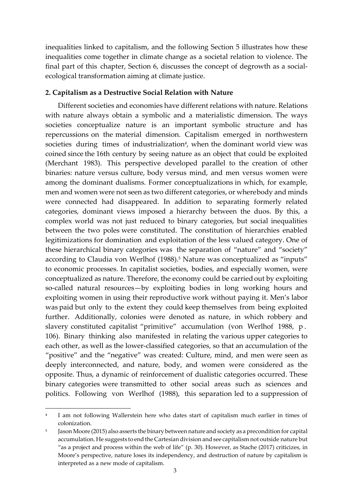inequalities linked to capitalism, and the following Section 5 illustrates how these inequalities come together in climate change as a societal relation to violence. The final part of this chapter, Section 6, discusses the concept of degrowth as a socialecological transformation aiming at climate justice.

# **2. Capitalism as a Destructive Social Relation with Nature**

Different societies and economies have different relations with nature. Relations with nature always obtain a symbolic and a materialistic dimension. The ways societies conceptualize nature is an important symbolic structure and has repercussions on the material dimension. Capitalism emerged in northwestern societies during times of industrialization<sup>4</sup>, when the dominant world view was coined since the 16th century by seeing nature as an object that could be exploited (Merchant 1983). This perspective developed parallel to the creation of other binaries: nature versus culture, body versus mind, and men versus women were among the dominant dualisms. Former conceptualizations in which, for example, men and women were not seen as two different categories, or wherebody and minds were connected had disappeared. In addition to separating formerly related categories, dominant views imposed a hierarchy between the duos. By this, a complex world was not just reduced to binary categories, but social inequalities between the two poles were constituted. The constitution of hierarchies enabled legitimizations for domination and exploitation of the less valued category. One of these hierarchical binary categories was the separation of "nature" and "society" according to Claudia von Werlhof (1988).<sup>5</sup> Nature was conceptualized as "inputs" to economic processes. In capitalist societies, bodies, and especially women, were conceptualized as nature. Therefore, the economy could be carried out by exploiting so-called natural resources—by exploiting bodies in long working hours and exploiting women in using their reproductive work without paying it. Men's labor was paid but only to the extent they could keep themselves from being exploited further. Additionally, colonies were denoted as nature, in which robbery and slavery constituted capitalist "primitive" accumulation (von Werlhof 1988, p . 106). Binary thinking also manifested in relating the various upper categories to each other, as well as the lower-classified categories, so that an accumulation of the "positive" and the "negative" was created: Culture, mind, and men were seen as deeply interconnected, and nature, body, and women were considered as the opposite. Thus, a dynamic of reinforcement of dualistic categories occurred. These binary categories were transmitted to other social areas such as sciences and politics. Following von Werlhof (1988), this separation led to a suppression of

<sup>4</sup> I am not following Wallerstein here who dates start of capitalism much earlier in times of colonization.

<sup>5</sup> Jason Moore (2015) also asserts the binary between nature and society as a precondition for capital accumulation. He suggests to end the Cartesian division and see capitalism not outside nature but "as a project and process within the web of life" (p. 30). However, as Stache (2017) criticizes, in Moore's perspective, nature loses its independency, and destruction of nature by capitalism is interpreted as a new mode of capitalism.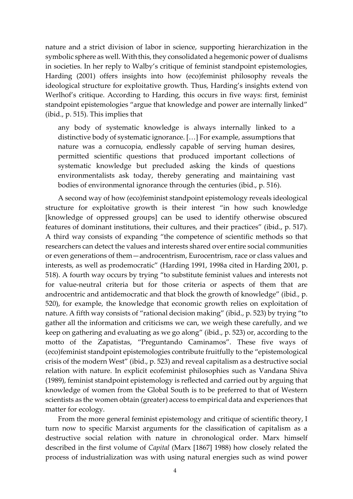nature and a strict division of labor in science, supporting hierarchization in the symbolic sphere as well. With this, they consolidated a hegemonic power of dualisms in societies. In her reply to Walby's critique of feminist standpoint epistemologies, Harding (2001) offers insights into how (eco)feminist philosophy reveals the ideological structure for exploitative growth. Thus, Harding's insights extend von Werlhof's critique. According to Harding, this occurs in five ways: first, feminist standpoint epistemologies "argue that knowledge and power are internally linked" (ibid., p. 515). This implies that

any body of systematic knowledge is always internally linked to a distinctive body of systematic ignorance. […] For example, assumptions that nature was a cornucopia, endlessly capable of serving human desires, permitted scientific questions that produced important collections of systematic knowledge but precluded asking the kinds of questions environmentalists ask today, thereby generating and maintaining vast bodies of environmental ignorance through the centuries (ibid., p. 516).

A second way of how (eco)feminist standpoint epistemology reveals ideological structure for exploitative growth is their interest "in how such knowledge [knowledge of oppressed groups] can be used to identify otherwise obscured features of dominant institutions, their cultures, and their practices" (ibid., p. 517). A third way consists of expanding "the competence of scientific methods so that researchers can detect the values and interests shared over entire social communities or even generations of them—androcentrism, Eurocentrism, race or class values and interests, as well as prodemocratic" (Harding 1991, 1998a cited in Harding 2001, p. 518). A fourth way occurs by trying "to substitute feminist values and interests not for value-neutral criteria but for those criteria or aspects of them that are androcentric and antidemocratic and that block the growth of knowledge" (ibid., p. 520), for example, the knowledge that economic growth relies on exploitation of nature. A fifth way consists of "rational decision making" (ibid., p. 523) by trying "to gather all the information and criticisms we can, we weigh these carefully, and we keep on gathering and evaluating as we go along" (ibid., p. 523) or, according to the motto of the Zapatistas, "Preguntando Caminamos". These five ways of (eco)feminist standpoint epistemologies contribute fruitfully to the "epistemological crisis of the modern West" (ibid., p. 523) and reveal capitalism as a destructive social relation with nature. In explicit ecofeminist philosophies such as Vandana Shiva (1989), feminist standpoint epistemology is reflected and carried out by arguing that knowledge of women from the Global South is to be preferred to that of Western scientists as the women obtain (greater) access to empirical data and experiences that matter for ecology.

From the more general feminist epistemology and critique of scientific theory, I turn now to specific Marxist arguments for the classification of capitalism as a destructive social relation with nature in chronological order. Marx himself described in the first volume of *Capital* (Marx [1867] 1988) how closely related the process of industrialization was with using natural energies such as wind power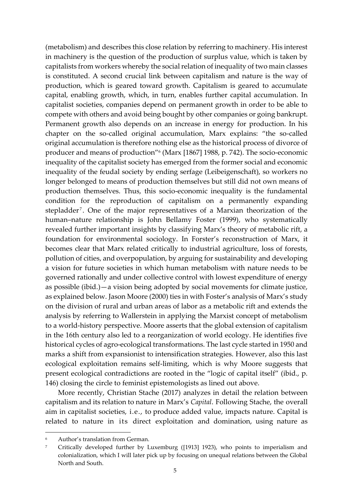(metabolism) and describes this close relation by referring to machinery. His interest in machinery is the question of the production of surplus value, which is taken by capitalists from workers whereby the social relation of inequality of two main classes is constituted. A second crucial link between capitalism and nature is the way of production, which is geared toward growth. Capitalism is geared to accumulate capital, enabling growth, which, in turn, enables further capital accumulation. In capitalist societies, companies depend on permanent growth in order to be able to compete with others and avoid being bought by other companies or going bankrupt. Permanent growth also depends on an increase in energy for production. In his chapter on the so-called original accumulation, Marx explains: "the so-called original accumulation is therefore nothing else as the historical process of divorce of producer and means of production"<sup>6</sup> (Marx [1867] 1988, p. 742). The socio-economic inequality of the capitalist society has emerged from the former social and economic inequality of the feudal society by ending serfage (Leibeigenschaft), so workers no longer belonged to means of production themselves but still did not own means of production themselves. Thus, this socio-economic inequality is the fundamental condition for the reproduction of capitalism on a permanently expanding stepladder <sup>7</sup> . One of the major representatives of a Marxian theorization of the human–nature relationship is John Bellamy Foster (1999), who systematically revealed further important insights by classifying Marx's theory of metabolic rift, a foundation for environmental sociology. In Forster's reconstruction of Marx, it becomes clear that Marx related critically to industrial agriculture, loss of forests, pollution of cities, and overpopulation, by arguing for sustainability and developing a vision for future societies in which human metabolism with nature needs to be governed rationally and under collective control with lowest expenditure of energy as possible (ibid.)—a vision being adopted by social movements for climate justice, as explained below. Jason Moore (2000) ties in with Foster's analysis of Marx's study on the division of rural and urban areas of labor as a metabolic rift and extends the analysis by referring to Wallerstein in applying the Marxist concept of metabolism to a world-history perspective. Moore asserts that the global extension of capitalism in the 16th century also led to a reorganization of world ecology. He identifies five historical cycles of agro-ecological transformations. The last cycle started in 1950 and marks a shift from expansionist to intensification strategies. However, also this last ecological exploitation remains self-limiting, which is why Moore suggests that present ecological contradictions are rooted in the "logic of capital itself" (ibid., p. 146) closing the circle to feminist epistemologists as lined out above.

More recently, Christian Stache (2017) analyzes in detail the relation between capitalism and its relation to nature in Marx's *Capital*. Following Stache, the overall aim in capitalist societies, i.e., to produce added value, impacts nature. Capital is related to nature in its direct exploitation and domination, using nature as

Author's translation from German.

<sup>7</sup> Critically developed further by Luxemburg ([1913] 1923), who points to imperialism and colonialization, which I will later pick up by focusing on unequal relations between the Global North and South.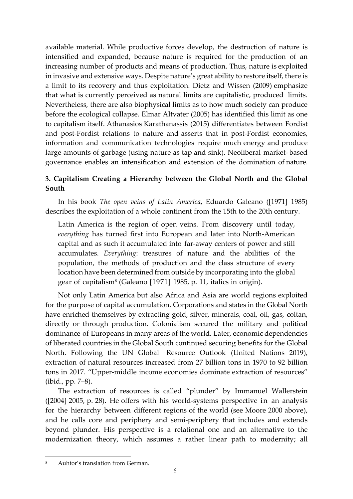available material. While productive forces develop, the destruction of nature is intensified and expanded, because nature is required for the production of an increasing number of products and means of production. Thus, nature is exploited in invasive and extensive ways. Despite nature's great ability to restore itself, there is a limit to its recovery and thus exploitation. Dietz and Wissen (2009) emphasize that what is currently perceived as natural limits are capitalistic, produced limits. Nevertheless, there are also biophysical limits as to how much society can produce before the ecological collapse. Elmar Altvater (2005) has identified this limit as one to capitalism itself. Athanasios Karathanassis (2015) differentiates between Fordist and post-Fordist relations to nature and asserts that in post-Fordist economies, information and communication technologies require much energy and produce large amounts of garbage (using nature as tap and sink). Neoliberal market- based governance enables an intensification and extension of the domination of nature.

# **3. Capitalism Creating a Hierarchy between the Global North and the Global South**

In his book *The open veins of Latin America*, Eduardo Galeano ([1971] 1985) describes the exploitation of a whole continent from the 15th to the 20th century.

Latin America is the region of open veins. From discovery until today, *everything* has turned first into European and later into North-American capital and as such it accumulated into far-away centers of power and still accumulates. *Everything*: treasures of nature and the abilities of the population, the methods of production and the class structure of every location have been determined from outside by incorporating into the global gear of capitalism<sup>8</sup> (Galeano [1971] 1985, p. 11, italics in origin).

Not only Latin America but also Africa and Asia are world regions exploited for the purpose of capital accumulation. Corporations and states in the Global North have enriched themselves by extracting gold, silver, minerals, coal, oil, gas, coltan, directly or through production. Colonialism secured the military and political dominance of Europeans in many areas of the world. Later, economic dependencies of liberated countries in the Global South continued securing benefits for the Global North. Following the UN Global Resource Outlook (United Nations 2019), extraction of natural resources increased from 27 billion tons in 1970 to 92 billion tons in 2017. "Upper-middle income economies dominate extraction of resources" (ibid., pp. 7–8).

The extraction of resources is called "plunder" by Immanuel Wallerstein ([2004] 2005, p. 28). He offers with his world-systems perspective in an analysis for the hierarchy between different regions of the world (see Moore 2000 above), and he calls core and periphery and semi-periphery that includes and extends beyond plunder. His perspective is a relational one and an alternative to the modernization theory, which assumes a rather linear path to modernity; all

Auhtor's translation from German.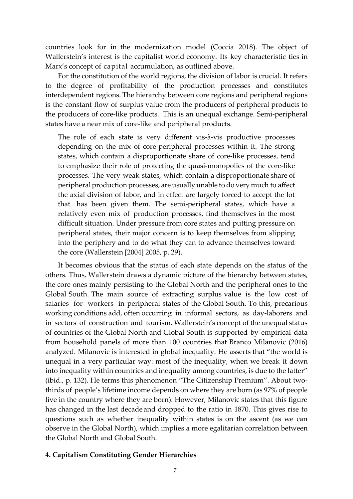countries look for in the modernization model (Coccia 2018). The object of Wallerstein's interest is the capitalist world economy. Its key characteristic ties in Marx's concept of capital accumulation, as outlined above.

For the constitution of the world regions, the division of labor is crucial. It refers to the degree of profitability of the production processes and constitutes interdependent regions. The hierarchy between core regions and peripheral regions is the constant flow of surplus value from the producers of peripheral products to the producers of core-like products. This is an unequal exchange. Semi-peripheral states have a near mix of core-like and peripheral products.

The role of each state is very different vis-à-vis productive processes depending on the mix of core-peripheral processes within it. The strong states, which contain a disproportionate share of core-like processes, tend to emphasize their role of protecting the quasi-monopolies of the core-like processes. The very weak states, which contain a disproportionate share of peripheral production processes, are usually unable to do very much to affect the axial division of labor, and in effect are largely forced to accept the lot that has been given them. The semi-peripheral states, which have a relatively even mix of production processes, find themselves in the most difficult situation. Under pressure from core states and putting pressure on peripheral states, their major concern is to keep themselves from slipping into the periphery and to do what they can to advance themselves toward the core (Wallerstein [2004] 2005, p. 29).

It becomes obvious that the status of each state depends on the status of the others. Thus, Wallerstein draws a dynamic picture of the hierarchy between states, the core ones mainly persisting to the Global North and the peripheral ones to the Global South. The main source of extracting surplus value is the low cost of salaries for workers in peripheral states of the Global South. To this, precarious working conditions add, often occurring in informal sectors, as day-laborers and in sectors of construction and tourism. Wallerstein's concept of the unequal status of countries of the Global North and Global South is supported by empirical data from household panels of more than 100 countries that Branco Milanovic (2016) analyzed. Milanovic is interested in global inequality. He asserts that "the world is unequal in a very particular way: most of the inequality, when we break it down into inequality within countries and inequality among countries, is due to the latter" (ibid., p. 132). He terms this phenomenon "The Citizenship Premium". About twothirds of people's lifetime income depends on where they are born (as 97% of people live in the country where they are born). However, Milanovic states that this figure has changed in the last decade and dropped to the ratio in 1870. This gives rise to questions such as whether inequality within states is on the ascent (as we can observe in the Global North), which implies a more egalitarian correlation between the Global North and Global South.

## **4. Capitalism Constituting Gender Hierarchies**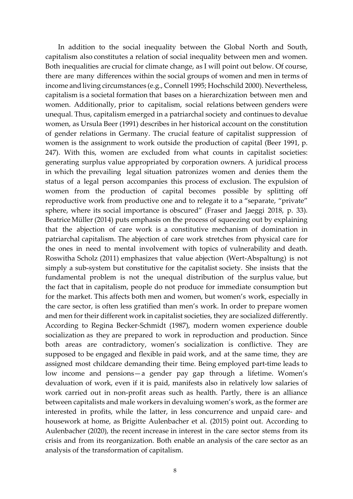In addition to the social inequality between the Global North and South, capitalism also constitutes a relation of social inequality between men and women. Both inequalities are crucial for climate change, as I will point out below. Of course, there are many differences within the social groups of women and men in terms of income and living circumstances (e.g., Connell 1995; Hochschild 2000). Nevertheless, capitalism is a societal formation that bases on a hierarchization between men and women. Additionally, prior to capitalism, social relations between genders were unequal. Thus, capitalism emerged in a patriarchal society and continues to devalue women, as Ursula Beer (1991) describes in her historical account on the constitution of gender relations in Germany. The crucial feature of capitalist suppression of women is the assignment to work outside the production of capital (Beer 1991, p. 247). With this, women are excluded from what counts in capitalist societies: generating surplus value appropriated by corporation owners. A juridical process in which the prevailing legal situation patronizes women and denies them the status of a legal person accompanies this process of exclusion. The expulsion of women from the production of capital becomes possible by splitting off reproductive work from productive one and to relegate it to a "separate, "private" sphere, where its social importance is obscured" (Fraser and Jaeggi 2018, p. 33). Beatrice Müller (2014) puts emphasis on the process of squeezing out by explaining that the abjection of care work is a constitutive mechanism of domination in patriarchal capitalism. The abjection of care work stretches from physical care for the ones in need to mental involvement with topics of vulnerability and death. Roswitha Scholz (2011) emphasizes that value abjection (Wert-Abspaltung) is not simply a sub-system but constitutive for the capitalist society. She insists that the fundamental problem is not the unequal distribution of the surplus value, but the fact that in capitalism, people do not produce for immediate consumption but for the market. This affects both men and women, but women's work, especially in the care sector, is often less gratified than men's work. In order to prepare women and men for their different work in capitalist societies, they are socialized differently. According to Regina Becker-Schmidt (1987), modern women experience double socialization as they are prepared to work in reproduction and production. Since both areas are contradictory, women's socialization is conflictive. They are supposed to be engaged and flexible in paid work, and at the same time, they are assigned most childcare demanding their time. Being employed part-time leads to low income and pensions—a gender pay gap through a lifetime. Women's devaluation of work, even if it is paid, manifests also in relatively low salaries of work carried out in non-profit areas such as health. Partly, there is an alliance between capitalists and male workers in devaluing women's work, as the former are interested in profits, while the latter, in less concurrence and unpaid care- and housework at home, as Brigitte Aulenbacher et al. (2015) point out. According to Aulenbacher (2020), the recent increase in interest in the care sector stems from its crisis and from its reorganization. Both enable an analysis of the care sector as an analysis of the transformation of capitalism.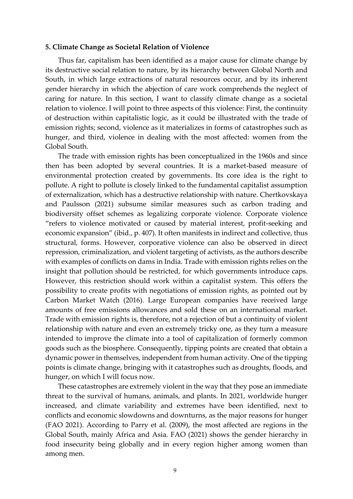#### **5. Climate Change as Societal Relation of Violence**

Thus far, capitalism has been identified as a major cause for climate change by its destructive social relation to nature, by its hierarchy between Global North and South, in which large extractions of natural resources occur, and by its inherent gender hierarchy in which the abjection of care work comprehends the neglect of caring for nature. In this section, I want to classify climate change as a societal relation to violence. I will point to three aspects of this violence: First, the continuity of destruction within capitalistic logic, as it could be illustrated with the trade of emission rights; second, violence as it materializes in forms of catastrophes such as hunger, and third, violence in dealing with the most affected: women from the Global South.

The trade with emission rights has been conceptualized in the 1960s and since then has been adopted by several countries. It is a market-based measure of environmental protection created by governments. Its core idea is the right to pollute. A right to pollute is closely linked to the fundamental capitalist assumption of externalization, which has a destructive relationship with nature. Chertkovskaya and Paulsson (2021) subsume similar measures such as carbon trading and biodiversity offset schemes as legalizing corporate violence. Corporate violence "refers to violence motivated or caused by material interest, profit-seeking and economic expansion" (ibid., p. 407). It often manifests in indirect and collective, thus structural, forms. However, corporative violence can also be observed in direct repression, criminalization, and violent targeting of activists, as the authors describe with examples of conflicts on dams in India. Trade with emission rights relies on the insight that pollution should be restricted, for which governments introduce caps. However, this restriction should work within a capitalist system. This offers the possibility to create profits with negotiations of emission rights, as pointed out by Carbon Market Watch (2016). Large European companies have received large amounts of free emissions allowances and sold these on an international market. Trade with emission rights is, therefore, not a rejection of but a continuity of violent relationship with nature and even an extremely tricky one, as they turn a measure intended to improve the climate into a tool of capitalization of formerly common goods such as the biosphere. Consequently, tipping points are created that obtain a dynamic power in themselves, independent from human activity. One of the tipping points is climate change, bringing with it catastrophes such as droughts, floods, and hunger, on which I will focus now.

These catastrophes are extremely violent in the way that they pose an immediate threat to the survival of humans, animals, and plants. In 2021, worldwide hunger increased, and climate variability and extremes have been identified, next to conflicts and economic slowdowns and downturns, as the major reasons for hunger (FAO 2021). According to Parry et al. (2009), the most affected are regions in the Global South, mainly Africa and Asia. FAO (2021) shows the gender hierarchy in food insecurity being globally and in every region higher among women than among men.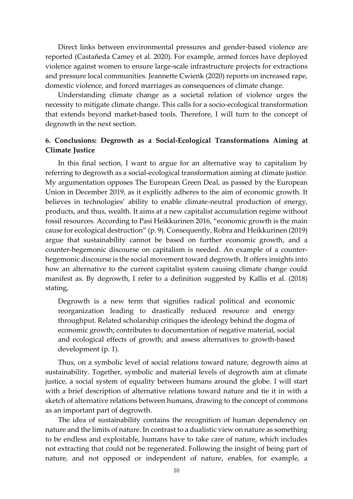Direct links between environmental pressures and gender-based violence are reported (Castañeda Camey et al. 2020). For example, armed forces have deployed violence against women to ensure large-scale infrastructure projects for extractions and pressure local communities. Jeannette Cwienk (2020) reports on increased rape, domestic violence, and forced marriages as consequences of climate change.

Understanding climate change as a societal relation of violence urges the necessity to mitigate climate change. This calls for a socio-ecological transformation that extends beyond market-based tools. Therefore, I will turn to the concept of degrowth in the next section.

# **6. Conclusions: Degrowth as a Social-Ecological Transformations Aiming at Climate Justice**

In this final section, I want to argue for an alternative way to capitalism by referring to degrowth as a social-ecological transformation aiming at climate justice. My argumentation opposes The European Green Deal, as passed by the European Union in December 2019, as it explicitly adheres to the aim of economic growth. It believes in technologies' ability to enable climate-neutral production of energy, products, and thus, wealth. It aims at a new capitalist accumulation regime without fossil resources. According to Pasi Heikkurinen 2016, "economic growth is the main cause for ecological destruction" (p. 9). Consequently, Robra and Heikkurinen (2019) argue that sustainability cannot be based on further economic growth, and a counter-hegemonic discourse on capitalism is needed. An example of a counterhegemonic discourse is the social movement toward degrowth. It offers insights into how an alternative to the current capitalist system causing climate change could manifest as. By degrowth, I refer to a definition suggested by Kallis et al. (2018) stating,

Degrowth is a new term that signifies radical political and economic reorganization leading to drastically reduced resource and energy throughput. Related scholarship critiques the ideology behind the dogma of economic growth; contributes to documentation of negative material, social and ecological effects of growth; and assess alternatives to growth-based development (p. 1).

Thus, on a symbolic level of social relations toward nature, degrowth aims at sustainability. Together, symbolic and material levels of degrowth aim at climate justice, a social system of equality between humans around the globe. I will start with a brief description of alternative relations toward nature and tie it in with a sketch of alternative relations between humans, drawing to the concept of commons as an important part of degrowth.

The idea of sustainability contains the recognition of human dependency on nature and the limits of nature. In contrast to a dualistic view on nature as something to be endless and exploitable, humans have to take care of nature, which includes not extracting that could not be regenerated. Following the insight of being part of nature, and not opposed or independent of nature, enables, for example, a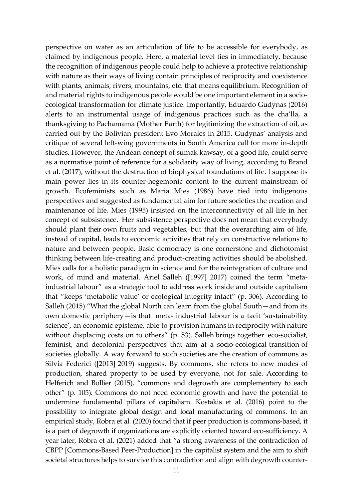perspective on water as an articulation of life to be accessible for everybody, as claimed by indigenous people. Here, a material level ties in immediately, because the recognition of indigenous people could help to achieve a protective relationship with nature as their ways of living contain principles of reciprocity and coexistence with plants, animals, rivers, mountains, etc. that means equilibrium. Recognition of and material rights to indigenous people would be one important element in a socioecological transformation for climate justice. Importantly, Eduardo Gudynas (2016) alerts to an instrumental usage of indigenous practices such as the cha'lla, a thanksgiving to Pachamama (Mother Earth) for legitimizing the extraction of oil, as carried out by the Bolivian president Evo Morales in 2015. Gudynas' analysis and critique of several left-wing governments in South America call for more in-depth studies. However, the Andean concept of sumak kawsay, of a good life, could serve as a normative point of reference for a solidarity way of living, according to Brand et al. (2017), without the destruction of biophysical foundations of life. I suppose its main power lies in its counter-hegemonic content to the current mainstream of growth. Ecofeminists such as Maria Mies (1986) have tied into indigenous perspectives and suggested as fundamental aim for future societies the creation and maintenance of life. Mies (1995) insisted on the interconnectivity of all life in her concept of subsistence. Her subsistence perspective does not mean that everybody should plant their own fruits and vegetables, but that the overarching aim of life, instead of capital, leads to economic activities that rely on constructive relations to nature and between people. Basic democracy is one cornerstone and dichotomist thinking between life-creating and product-creating activities should be abolished. Mies calls for a holistic paradigm in science and for the reintegration of culture and work, of mind and material. Ariel Salleh ([1997] 2017) coined the term "metaindustrial labour" as a strategic tool to address work inside and outside capitalism that "keeps 'metabolic value' or ecological integrity intact" (p. 306). According to Salleh (2015) "What the global North can learn from the global South—and from its own domestic periphery—is that meta- industrial labour is a tacit 'sustainability science', an economic episteme, able to provision humans in reciprocity with nature without displacing costs on to others" (p. 53). Salleh brings together eco-socialist, feminist, and decolonial perspectives that aim at a socio-ecological transition of societies globally. A way forward to such societies are the creation of commons as Silvia Federici ([2013] 2019) suggests. By commons, she refers to new modes of production, shared property to be used by everyone, not for sale. According to Helferich and Bollier (2015), "commons and degrowth are complementary to each other" (p. 105). Commons do not need economic growth and have the potential to undermine fundamental pillars of capitalism. Kostakis et al. (2016) point to the possibility to integrate global design and local manufacturing of commons. In an empirical study, Robra et al. (2020) found that if peer production is commons-based, it is a part of degrowth if organizations are explicitly oriented toward eco-sufficiency. A year later, Robra et al. (2021) added that "a strong awareness of the contradiction of CBPP [Commons-Based Peer-Production] in the capitalist system and the aim to shift societal structures helps to survive this contradiction and align with degrowth counter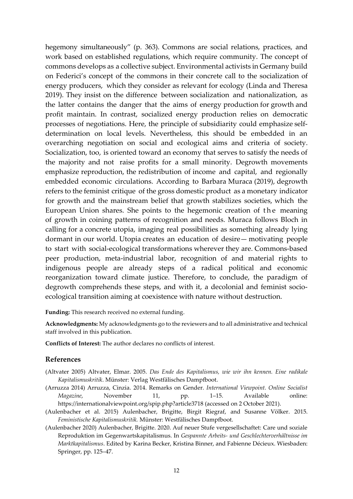hegemony simultaneously" (p. 363). Commons are social relations, practices, and work based on established regulations, which require community. The concept of commons develops as a collective subject. Environmental activists in Germany build on Federici's concept of the commons in their concrete call to the socialization of energy producers, which they consider as relevant for ecology (Linda and Theresa 2019). They insist on the difference between socialization and nationalization, as the latter contains the danger that the aims of energy production for growth and profit maintain. In contrast, socialized energy production relies on democratic processes of negotiations. Here, the principle of subsidiarity could emphasize selfdetermination on local levels. Nevertheless, this should be embedded in an overarching negotiation on social and ecological aims and criteria of society. Socialization, too, is oriented toward an economy that serves to satisfy the needs of the majority and not raise profits for a small minority. Degrowth movements emphasize reproduction, the redistribution of income and capital, and regionally embedded economic circulations. According to Barbara Muraca (2019), degrowth refers to the feminist critique of the gross domestic product as a monetary indicator for growth and the mainstream belief that growth stabilizes societies, which the European Union shares. She points to the hegemonic creation of the meaning of growth in coining patterns of recognition and needs. Muraca follows Bloch in calling for a concrete utopia, imaging real possibilities as something already lying dormant in our world. Utopia creates an education of desire— motivating people to start with social-ecological transformations wherever they are. Commons-based peer production, meta-industrial labor, recognition of and material rights to indigenous people are already steps of a radical political and economic reorganization toward climate justice. Therefore, to conclude, the paradigm of degrowth comprehends these steps, and with it, a decolonial and feminist socioecological transition aiming at coexistence with nature without destruction.

**Funding:** This research received no external funding.

**Acknowledgments:** My acknowledgments go to the reviewers and to all administrative and technical staff involved in this publication.

**Conflicts of Interest:** The author declares no conflicts of interest.

## **References**

- (Altvater 2005) Altvater, Elmar. 2005. *Das Ende des Kapitalismus, wie wir ihn kennen. Eine radikale Kapitalismuskritik*. Münster: Verlag Westfälisches Dampfboot.
- (Arruzza 2014) Arruzza, Cinzia. 2014. Remarks on Gender. *International Viewpoint. Online Socialist Magazine*, November 11, pp. 1–15. Available online: https://internationalviewpoint.org/spip.php?article3718 (accessed on 2 October 2021).
- (Aulenbacher et al. 2015) Aulenbacher, Brigitte, Birgit Riegraf, and Susanne Völker. 2015. *Feministische Kapitalismuskritik.* Münster: Westfälisches Dampfboot.
- (Aulenbacher 2020) Aulenbacher, Brigitte. 2020. Auf neuer Stufe vergesellschaftet: Care und soziale Reproduktion im Gegenwartskapitalismus. In *Gespannte Arbeits- und Geschlechterverhältnisse im Marktkapitalismus*. Edited by Karina Becker, Kristina Binner, and Fabienne Décieux. Wiesbaden: Springer, pp. 125–47.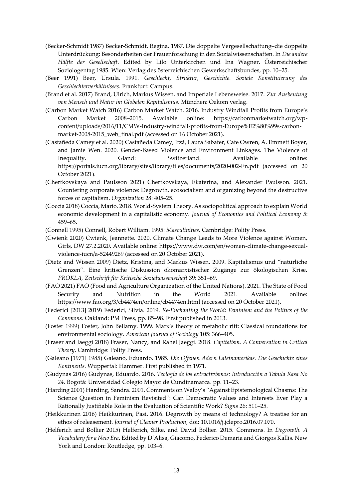- (Becker-Schmidt 1987) Becker-Schmidt, Regina. 1987. Die doppelte Vergesellschaftung–die doppelte Unterdrückung: Besonderheiten der Frauenforschung in den Sozialwissenschaften. In *Die andere Hälfte der Gesellschaft*. Edited by Lilo Unterkirchen und Ina Wagner. Österreichischer Soziologentag 1985. Wien: Verlag des österreichischen Gewerkschaftsbundes, pp. 10–25.
- (Beer 1991) Beer, Ursula. 1991. *Geschlecht, Struktur, Geschichte. Soziale Konstituierung des Geschlechterverhältnisses*. Frankfurt: Campus.
- (Brand et al. 2017) Brand, Ulrich, Markus Wissen, and Imperiale Lebensweise. 2017. *Zur Ausbeutung von Mensch und Natur im Globalen Kapitalismus*. München: Oekom verlag.
- (Carbon Market Watch 2016) Carbon Market Watch. 2016. Industry Windfall Profits from Europe's Carbon Market 2008–2015. Available online: https://carbonmarketwatch.org/wpcontent/uploads/2016/11/CMW-Industry-windfall-profits-from-Europe%E2%80%99s-carbonmarket-2008-2015\_web\_final.pdf (accessed on 16 October 2021).
- (Castañeda Camey et al. 2020) Castañeda Camey, Itzá, Laura Sabater, Cate Owren, A. Emmett Boyer, and Jamie Wen. 2020. Gender-Based Violence and Environment Linkages. The Violence of Inequality, Gland: Switzerland. Available online: https://portals.iucn.org/library/sites/library/files/documents/2020-002-En.pdf (accessed on 20 October 2021).
- (Chertkovskaya and Paulsson 2021) Chertkovskaya, Ekaterina, and Alexander Paulsson. 2021. Countering corporate violence: Degrowth, ecosocialism and organizing beyond the destructive forces of capitalism. *Organization* 28: 405–25.
- (Coccia 2018) Coccia, Mario. 2018. World-System Theory. As sociopolitical approach to explain World economic development in a capitalistic economy. *Journal of Economics and Political Economy* 5: 459–65.
- (Connell 1995) Connell, Robert William. 1995: *Masculinities*. Cambridge: Polity Press.
- (Cwienk 2020) Cwienk, Jeannette. 2020. Climate Change Leads to More Violence against Women, Girls, DW 27.2.2020. Available online: https://www.dw.com/en/women-climate-change-sexualviolence-iucn/a-52449269 (accessed on 20 October 2021).
- (Dietz and Wissen 2009) Dietz, Kristina, and Markus Wissen. 2009. Kapitalismus und "natürliche Grenzen". Eine kritische Diskussion ökomarxistischer Zugänge zur ökologischen Krise. *PROKLA, Zeitschrift für Kritische Sozialwissenschaft* 39: 351–69.
- (FAO 2021) FAO (Food and Agriculture Organization of the United Nations). 2021. The State of Food Security and Nutrition in the World 2021. Available online: https://www.fao.org/3/cb4474en/online/cb4474en.html (accessed on 20 October 2021).
- (Federici [2013] 2019) Federici, Silvia. 2019. *Re-Enchanting the World: Feminism and the Politics of the Commons*. Oakland: PM Press, pp. 85–98. First published in 2013.
- (Foster 1999) Foster, John Bellamy. 1999. Marx's theory of metabolic rift: Classical foundations for environmental sociology. *American Journal of Sociology* 105: 366–405.
- (Fraser and Jaeggi 2018) Fraser, Nancy, and Rahel Jaeggi. 2018. *Capitalism. A Conversation in Critical Theory*. Cambridge: Polity Press.
- (Galeano [1971] 1985) Galeano, Eduardo. 1985. *Die Offenen Adern Lateinamerikas. Die Geschichte eines Kontinents*. Wuppertal: Hammer. First published in 1971.
- (Gudynas 2016) Gudynas, Eduardo. 2016. *Teología de los extractivismos: Introducción a Tabula Rasa No 24*. Bogotá: Universidad Colegio Mayor de Cundinamarca. pp. 11–23.
- (Harding 2001) Harding, Sandra. 2001. Comments on Walby's "Against Epistemological Chasms: The Science Question in Feminism Revisited": Can Democratic Values and Interests Ever Play a Rationally Justifiable Role in the Evaluation of Scientific Work? *Signs* 26: 511–25.
- (Heikkurinen 2016) Heikkurinen, Pasi. 2016. Degrowth by means of technology? A treatise for an ethos of releasement. *Journal of Cleaner Production*, doi: 10.1016/j.jclepro.2016.07.070.
- (Helferich and Bollier 2015) Helferich, Silke, and David Bollier. 2015. Commons. In *Degrowth. A Vocabulary for a New Era*. Edited by D'Alisa, Giacomo, Federico Demaria and Giorgos Kallis. New York and London: Routledge, pp. 103–6.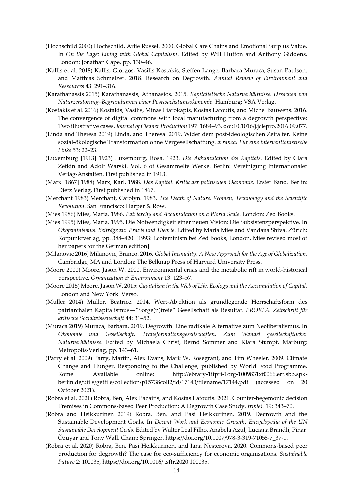- (Hochschild 2000) Hochschild, Arlie Russel. 2000. Global Care Chains and Emotional Surplus Value. In *On the Edge: Living with Global Capitalism*. Edited by Will Hutton and Anthony Giddens. London: Jonathan Cape, pp. 130–46.
- (Kallis et al. 2018) Kallis, Giorgos, Vasilis Kostakis, Steffen Lange, Barbara Muraca, Susan Paulson, and Matthias Schmelzer. 2018. Research on Degrowth. *Annual Review of Environment and Ressources* 43: 291–316.
- (Karathanassis 2015) Karathanassis, Athanasios. 2015. *Kapitalistische Naturverhältnisse. Ursachen von Naturzerstörung–Begründungen einer Postwachstumsökonomie*. Hamburg: VSA Verlag.
- (Kostakis et al. 2016) Kostakis, Vasilis, Minas Liarokapis, Kostas Latoufis, and Michel Bauwens. 2016. The convergence of digital commons with local manufacturing from a degrowth perspective: Two illustrative cases. *Journal of Cleaner Production* 197: 1684–93. doi:10.1016/j.jclepro.2016.09.077.
- (Linda and Theresa 2019) Linda, and Theresa. 2019. Wider dem post-ideologischen Zeitalter. Keine sozial-ökologische Transformation ohne Vergesellschaftung. *arranca! Für eine interventionistische Linke* 53: 22–23.
- (Luxemburg [1913] 1923) Luxemburg, Rosa. 1923. *Die Akkumulation des Kapitals.* Edited by Clara Zetkin and Adolf Warski. Vol. 6 of Gesammelte Werke. Berlin: Vereinigung Internationaler Verlag-Anstalten. First published in 1913.
- (Marx [1867] 1988) Marx, Karl. 1988. *Das Kapital. Kritik der politischen Ökonomie*. Erster Band. Berlin: Dietz Verlag. First published in 1867.
- (Merchant 1983) Merchant, Carolyn. 1983. *The Death of Nature: Women, Technology and the Scientific Revolution*. San Francisco: Harper & Row.
- (Mies 1986) Mies, Maria. 1986. *Patriarchy and Accumulation on a World Scale*. London: Zed Books.
- (Mies 1995) Mies, Maria. 1995. Die Notwendigkeit einer neuen Vision: Die Subsistenzperspektive. In *Ökofeminismus. Beiträge zur Praxis und Theorie*. Edited by Maria Mies and Vandana Shiva. Zürich: Rotpunktverlag, pp. 388–420. [1993: Ecofeminism bei Zed Books, London, Mies revised most of her papers for the German edition].
- (Milanovic 2016) Milanovic, Branco. 2016. *Global Inequality. A New Approach for the Age of Globalization*. Cambridge, MA and London: The Belknap Press of Harvard University Press.
- (Moore 2000) Moore, Jason W. 2000. Environmental crisis and the metabolic rift in world-historical perspective. *Organization & Environment* 13: 123–57.
- (Moore 2015) Moore, Jason W. 2015: *Capitalism in the Web of Life. Ecology and the Accumulation of Capital*. London and New York: Verso.
- (Müller 2014) Müller, Beatrice. 2014. Wert-Abjektion als grundlegende Herrschaftsform des patriarchalen Kapitalismus—"Sorge(n)freie" Gesellschaft als Resultat. *PROKLA. Zeitschrift für kritische Sozialwissenschaft* 44: 31–52.
- (Muraca 2019) Muraca, Barbara. 2019. Degrowth: Eine radikale Alternative zum Neoliberalismus. In *Ökonomie und Gesellschaft. Transformationsgesellschaften. Zum Wandel gesellschaftlicher Naturverhältnisse*. Edited by Michaela Christ, Bernd Sommer and Klara Stumpf. Marburg: Metropolis-Verlag, pp. 143–61.
- (Parry et al. 2009) Parry, Martin, Alex Evans, Mark W. Rosegrant, and Tim Wheeler. 2009. Climate Change and Hunger. Responding to the Challenge, published by World Food Programme, Rome. Available online: http://ebrary-1ifpri-1org-1009831xf0066.erf.sbb.spkberlin.de/utils/getfile/collection/p15738coll2/id/17143/filename/17144.pdf (accessed on 20 October 2021).
- (Robra et al. 2021) Robra, Ben, Alex Pazaitis, and Kostas Latoufis. 2021. Counter-hegemonic decision Premises in Commons-based Peer Production: A Degrowth Case Study. *tripleC* 19: 343–70.
- (Robra and Heikkurinen 2019) Robra, Ben, and Pasi Heikkurinen. 2019. Degrowth and the Sustainable Development Goals. In *Decent Work and Economic Growth*. *Encyclopedia of the UN Sustainable Development Goals*. Edited by Walter Leal Filho, Anabela Azul, Luciana Brandli, Pinar Özuyar and Tony Wall. Cham: Springer. https://doi.org/10.1007/978-3-319-71058-7\_37-1.
- (Robra et al. 2020) Robra, Ben, Pasi Heikkurinen, and Iana Nesterova. 2020. Commons-based peer production for degrowth? The case for eco-sufficiency for economic organisations. *Sustainable Future* 2: 100035, https://doi.org/10.1016/j.sftr.2020.100035.